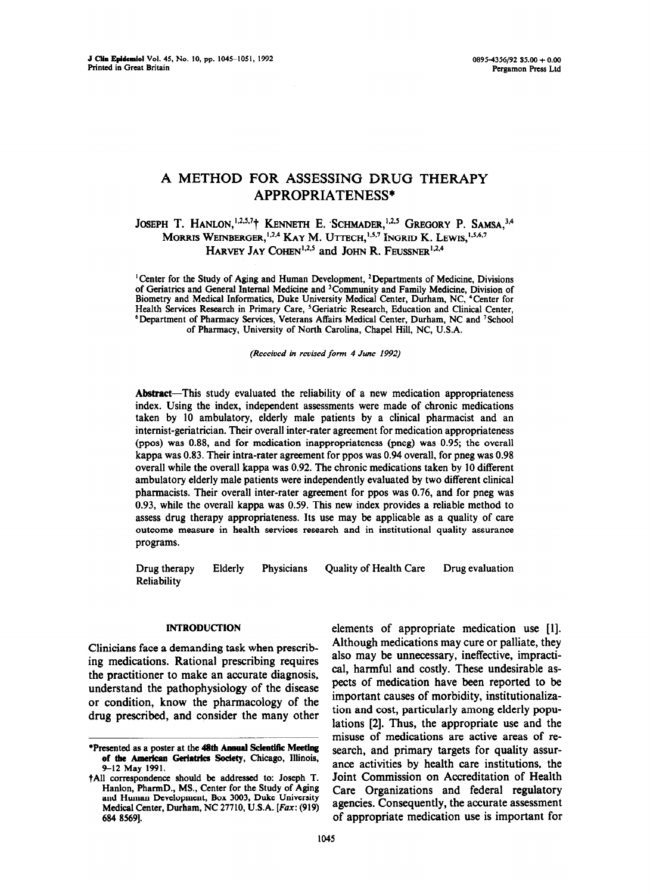# **A METHOD FOR ASSESSING DRUG THERAPY APPROPRIATENESS\***

# JOSEPH T. HANLON,<sup>1,2,5,7</sup>† KENNETH E. SCHMADER,<sup>1,2,5</sup> GREGORY P. SAMSA,<sup>3,4</sup> **MORRIS WEINBERGER, <sup>1,2,4</sup> KAY M. UTTECH, <sup>1,5,7</sup> INGRID K. LEWIS, <sup>1,5,6,7</sup>** HARVEY JAY COHEN<sup>1,2,5</sup> and JOHN R. FEUSSNER<sup>1,2,4</sup>

<sup>1</sup> Center for the Study of Aging and Human Development, <sup>2</sup> Departments of Medicine, Divisions **of Geriatrics and General Internal Medicine and 'Community and Family Medicine, Division of Biometry and Medical Informatics, Duke University Medical Center, Durham, NC, 4Center for Health Services Research** in Primary Care, 'Geriatric Research, Education and Clinical Center, <sup>6</sup>Department of Pharmacy Services, Veterans Affairs Medical Center, Durham, NC and <sup>7</sup>School of Pharmacy, University of North Carolina, Chapel Hill, NC, U.S.A.

*(Received in revised form 4 June 1992)* 

**Abstract-This** study evaluated the reliability of a new medication appropriateness index. Using the index, independent assessments were made of chronic medications taken by 10 ambulatory, elderly male patients by a clinical pharmacist and an internist-geriatrician. Their overall inter-rater agreement for medication appropriateness (ppos) was 0.88, and for medication inappropriateness (pneg) was 0.95; the overall kappa was 0.83. Their intra-rater agreement for ppos was 0.94 overall, for pneg was 0.98 overall while the overall kappa was 0.92. The chronic medications taken by 10 different ambulatory elderly male patients were independently evaluated by two different clinical pharmacists. Their overall inter-rater agreement for ppos was 0.76, and for pneg was 0.93, while the overall kappa was 0.59. This new index provides a reliable method to assess drug therapy appropriateness. Its use may be applicable as a quality of care outcome measure in health services research and in institutional quality assurance programs.

Drug therapy Reliability Elderly Physicians Quality of Health Care Drug evaluation

# INTRODUCTION

Clinicians face a demanding task when prescribing medications. Rational prescribing requires the practitioner to make an accurate diagnosis, understand the pathophysiology of the disease or condition, know the pharmacology of the drug prescribed, and consider the many other elements of appropriate medication use [l]. Although medications may cure or palliate, they also may be unnecessary, ineffective, impractical, harmful and costly. These undesirable aspects of medication have been reported to be important causes of morbidity, institutionalization and cost, particularly among elderly populations [2]. Thus, the appropriate use and the misuse of medications are active areas of research, and primary targets for quality assurance activities by health care institutions, the Joint Commission on Accreditation of Health Care Organizations and federal regulatory agencies. Consequently, the accurate assessment of appropriate medication use is important for

<sup>\*</sup>Presented as a poster at the 48th Annual Sckntifie **Meeting**  of the American Geriatrics Society, Chicago, Illinois, 9-12 May 1991.

<sup>?</sup>A11 correspondence should be addressed to: Joseph T. Hanlon, PharmD., MS., Center for the Study of **Aging and** Human **Development,** Box *3003,* Duke **University Medical Center, Durham, NC 27710, U.S.A. [Fax: (919) 684 85691.**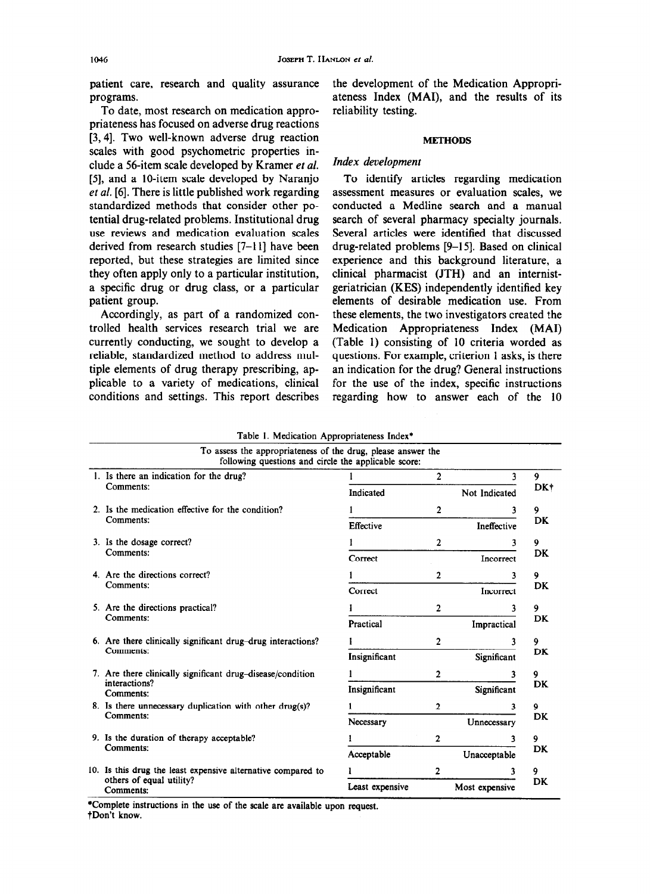patient care, research and quality assurance programs.

To date, most research on medication appropriateness has focused on adverse drug reactions [3,4]. Two well-known adverse drug reaction scaies with good psychometric properties include a 56-item scale developed by Kramer et al. [5], and a IO-item scale developed by Naranjo et *al.* [6]. There is little published work regarding standardized methods that consider other potential drug-related problems. Institutional drug use reviews and medication evaluation scales derived from research studies [7-l l] have been reported, but these strategies are limited since they often apply only to a particular institution, a specific drug or drug class, or a particular patient group.

Accordingly, as part of a randomized controlled health services research trial we are currently conducting, we sought to develop a reliable, standardized method to address multiple elements of drug therapy prescribing, applicable to a variety of medications, clinical conditions and settings. This report describes the development of the Medication Appropriateness Index (MAI), and the results of its reliability testing.

#### METHODS

## *Index development*

To identify articles regarding medication assessment measures or evaluation scales, we conducted a Medline search and a manual search of several pharmacy specialty journals. Several articles were identified that discussed drug-related problems [9-l 51. Based on clinical experience and this background literature, a clinical pharmacist (JTH) and an internistgeriatrician (KES) independently identified key elements of desirable medication use. From these elements, the two investigators created the Medication Appropriateness Index (MAI) (Table 1) consisting of 10 criteria worded as questions. For example, criterion 1 asks, is there an indication for the drug? General instructions for the use of the index, specific instructions regarding how to answer each of the 10

| Table 1. Medication Appropriateness Index* |  |  |
|--------------------------------------------|--|--|
|--------------------------------------------|--|--|

| To assess the appropriateness of the drug, please answer the<br>following questions and circle the applicable score: |                 |                |                |
|----------------------------------------------------------------------------------------------------------------------|-----------------|----------------|----------------|
| 1. Is there an indication for the drug?<br>Comments:                                                                 |                 | $\overline{2}$ | 3              |
|                                                                                                                      | Indicated       |                | Not Indicated  |
| 2. Is the medication effective for the condition?<br>Comments:                                                       |                 | $\mathbf 2$    | 3              |
|                                                                                                                      | Effective       |                | Ineffective    |
| 3. Is the dosage correct?                                                                                            |                 | $\overline{2}$ | 3              |
| Comments:                                                                                                            | Correct         |                | Incorrect      |
| 4. Are the directions correct?<br>Comments:                                                                          |                 | $\mathbf{2}$   | 3              |
|                                                                                                                      | Correct         |                | Incorrect      |
| 5. Are the directions practical?                                                                                     |                 | 2              | 3              |
| Comments:                                                                                                            | Practical       |                | Impractical    |
| 6. Are there clinically significant drug-drug interactions?                                                          |                 | $\mathbf{2}$   | 3              |
| Comments:                                                                                                            | Insignificant   |                | Significant    |
| 7. Are there clinically significant drug-disease/condition                                                           |                 | $\overline{2}$ | 3              |
| interactions?<br>Comments:                                                                                           | Insignificant   |                | Significant    |
| 8. Is there unnecessary duplication with other drug(s)?                                                              |                 | $\overline{2}$ | 3              |
| Comments:                                                                                                            | Necessary       |                | Unnecessary    |
| 9. Is the duration of therapy acceptable?                                                                            |                 | 2              | 3              |
| Comments:                                                                                                            | Acceptable      |                | Unacceptable   |
| 10. Is this drug the least expensive alternative compared to                                                         |                 | 2              | 3              |
| others of equal utility?<br>Comments:                                                                                | Least expensive |                | Most expensive |

'Complete instructions in the use of the scale are available upon request. tDon't know.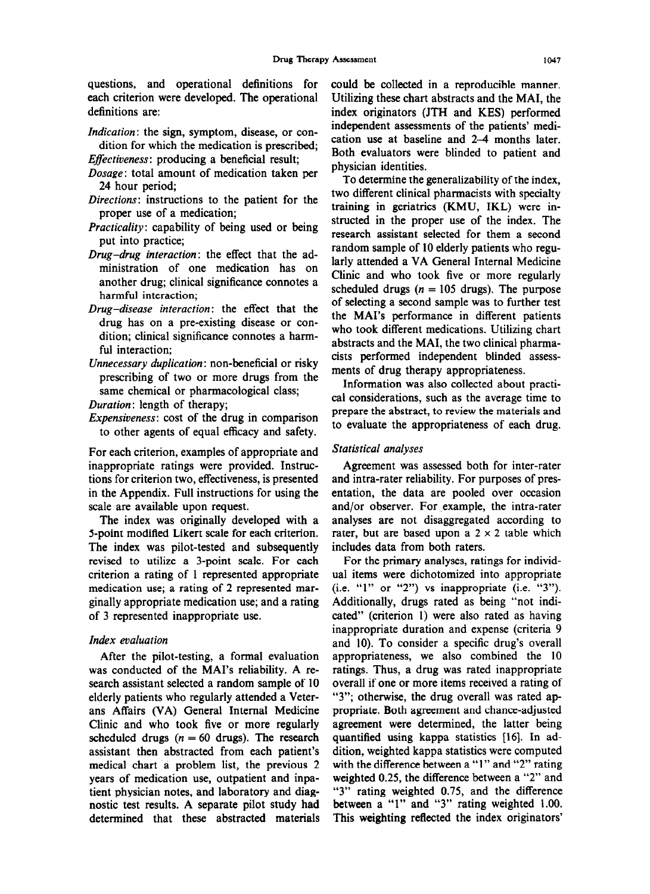each criterion were developed. The operational Utilizing these chart abstracts and the MAI, the definitions are: index originators (JTH and KES) performed

- *Indication:* the sign, symptom, disease, or con-
- Dosage: total amount of medication taken per
- *Directions:* instructions to the patient for the
- *Practicality:* capability of being used or being.
- *Drug-drug interaction:* the effect that the administration of one medication has on another drug; clinical significance connotes a
- *Drug-disease interaction:* the effect that the drug has on a pre-existing disease or con-
- *Unnecessary duplication:* non-beneficial or risky cists performed independent blinded assessments of drug therapy appropriateness. prescribing of two or more drugs from the same chemical or pharmacological class;
- 
- to other agents of equal efficacy and safety.

For each criterion, examples of appropriate and Statistical analyses inappropriate ratings were provided. Instruc- Agreement was assessed both for inter-rater tions for criterion two, effectiveness, is presented and intra-rater reliability. For purposes of presin the Appendix. Full instructions for using the entation, the data are pooled over occasion scale are available upon request. and/or observer. For example, the intra-rater

5-point modified Likert scale for each criterion. rater, but are based upon a  $2 \times 2$  table which The index was pilot-tested and subsequently includes data from both raters. revised to utilize a 3-point scale. For each For the primary analyses, ratings for individcriterion a rating of 1 represented appropriate ual items were dichotomized into appropriate medication use; a rating of 2 represented mar- (i.e. "1" or "2") vs inappropriate (i.e. "3"). ginally appropriate medication use; and a rating Additionally, drugs rated as being "not indiof 3 represented inappropriate use. cated" (criterion 1) were also rated as having

# *Index evaluation*

was conducted of the MAI's reliability. A re- ratings. Thus, a drug was rated inappropriate search assistant selected a random sample of 10 overall if one or more items received a rating of elderly patients who regularly attended a Veter- "3"; otherwise, the drug overall was rated apans Affairs (VA) General Internal Medicine propriate. Both agreement and chance-adjusted Clinic and who took five or more regularly agreement were determined, the latter being scheduled drugs  $(n = 60 \text{ drugs})$ . The research quantified using kappa statistics [16]. In adassistant then abstracted from each patient's dition, weighted kappa statistics were computed medical chart a problem list, the previous 2 with the difference between a "1" and "2" rating years of medication use, outpatient and inpa- weighted 0.25, the difference between a "2" and tient physician notes, and laboratory and diag- "3" rating weighted 0.75, and the difference nostic test results. A separate pilot study had between a "1" and "3" rating weighted 1.00. nostic test results. A separate pilot study had determined that these abstracted materials This weighting reflected the index originators'

questions, and operational definitions for could be collected in a reproducible manner, independent assessments of the patients' medi-  $\frac{d}{dx}$  attion. The sign, symptom, use ase, or con-<br>dition for which the medication is prescribed;<br> $\sum_{n=1}^{\infty}$  ,  $\sum_{n=1}^{\infty}$  ,  $\sum_{n=1}^{\infty}$  ,  $\sum_{n=1}^{\infty}$ *Effectiveness*: producing a beneficial result; Both evaluators were blinded to patient and *Effectiveness*: producing a beneficial result; physician identities.

24 hour period;<br>24 hour period;<br>instructions to the national for the state wo different clinical pharmacists with specialty proper use of a medication;<br>training in geriatrics (KMU, IKL) were in-<br>training in geriatrics (KMU, IKL) were in-<br>training in geriatrics (KMU, IKL) were input into practice;<br>put into practice;<br> $r = mc^2$ , research assistant selected for them a second<br>random sample of 10 elderly patients who regularly attended a VA General Internal Medicine Clinic and who took five or more regularly another drug, emilican significance comotes a<br>scheduled drugs  $(n = 105 \text{ drugs})$ . The purpose<br>harmful interaction;<br> $\frac{1}{2}$  for the draw that the details of selecting a second sample was to further test the MAI's performance in different patients dition; clinical significance connotes a harm-<br>dition; clinical significance connotes a harmful interaction;<br>ful interaction; abstracts and the MAI, the two clinical pharma-<br>cists performed independent blinded assess-

Information was also collected about practi-*Duration:* length of therapy; cal considerations, such as the average time to prepare the abstract, to review the materials and *Expensiveness:* cost of the drug in comparison prepare the abstract, to review the materials and to evaluate the appropriateness of each drug.

The index was originally developed with a analyses are not disaggregated according to

inappropriate duration and expense (criteria 9 and 10). To consider a specific drug's overall After the pilot-testing, a formal evaluation appropriateness, we also combined the 10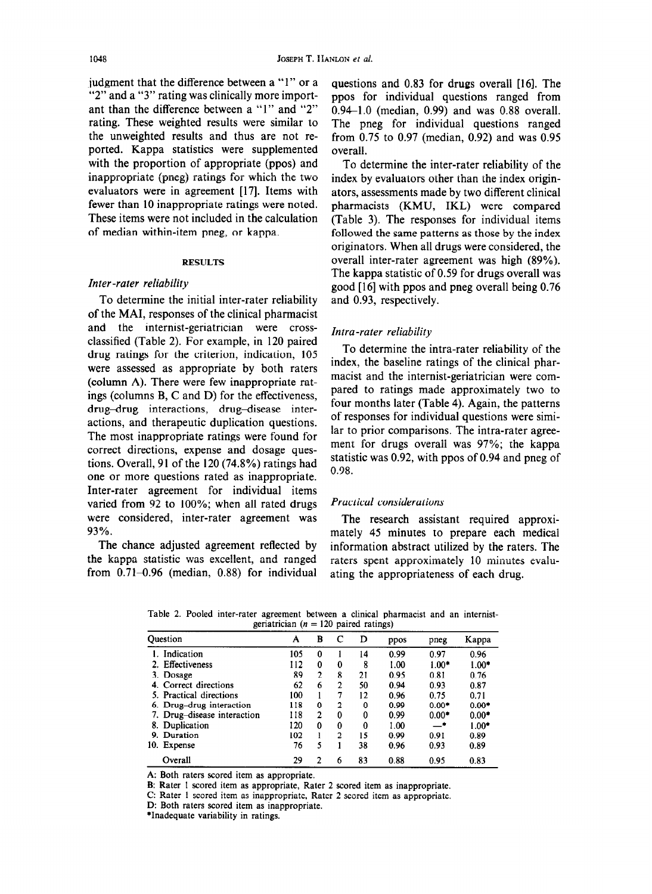judgment that the difference between a "1" or a "2" and a "3" rating was clinically more important than the difference between a "1" and "2" rating. These weighted results were similar to the unweighted results and thus are not reported. Kappa statistics were supplemented with the proportion of appropriate (ppos) and inappropriate (pneg) ratings for which the two evaluators were in agreement [17]. Items with fewer than 10 inappropriate ratings were noted. These items were not included in the calculation of median within-item pneg, or kappa.

#### **RESULTS**

# Inter-rater reliability

To determine the initial inter-rater reliability of the MAI, responses of the clinical pharmacist and the internist-geriatrician were crossclassified (Table 2). For example, in 120 paired drug ratings for the criterion, indication, 105 were assessed as appropriate by both raters (column A). There were few inappropriate ratings (columns B, C and D) for the effectiveness, drug-drug interactions, drug-disease interactions, and therapeutic duplication questions. The most inappropriate ratings were found for correct directions, expense and dosage questions. Overall, 91 of the 120 (74.8%) ratings had one or more questions rated as inappropriate. Inter-rater agreement for individual items varied from 92 to 100%; when all rated drugs were considered, inter-rater agreement was 93%.

The chance adjusted agreement reflected by the kappa statistic was excellent, and ranged from  $0.71-0.96$  (median, 0.88) for individual questions and 0.83 for drugs overall [16]. The ppos for individual questions ranged from  $0.94 - 1.0$  (median, 0.99) and was 0.88 overall. The pneg for individual questions ranged from  $0.75$  to  $0.97$  (median,  $0.92$ ) and was  $0.95$ overall.

To determine the inter-rater reliability of the index by evaluators other than the index originators, assessments made by two different clinical pharmacists (KMU, IKL) were compared (Table 3). The responses for individual items followed the same patterns as those by the index originators. When all drugs were considered, the overall inter-rater agreement was high (89%). The kappa statistic of 0.59 for drugs overall was good [16] with ppos and pneg overall being 0.76 and 0.93, respectively.

#### Intra-rater reliability

To determine the intra-rater reliability of the index, the baseline ratings of the clinical pharmacist and the internist-geriatrician were compared to ratings made approximately two to four months later (Table 4). Again, the patterns of responses for individual questions were similar to prior comparisons. The intra-rater agreement for drugs overall was 97%; the kappa statistic was 0.92, with ppos of 0.94 and pneg of 0.98.

#### **Practical considerations**

The research assistant required approximately 45 minutes to prepare each medical information abstract utilized by the raters. The raters spent approximately 10 minutes evaluating the appropriateness of each drug.

Table 2. Pooled inter-rater agreement between a clinical pharmacist and an internistgeriatrician ( $n = 120$  naired ratings)

| $-120$ paned identify.      |     |                |                |    |      |         |         |  |
|-----------------------------|-----|----------------|----------------|----|------|---------|---------|--|
| Ouestion                    | A   | В              |                | D  | ppos | pneg    | Kappa   |  |
| Indication                  | 105 | 0              |                | 14 | 0.99 | 0.97    | 0.96    |  |
| Effectiveness               | 112 | $\mathbf{0}$   | $\bf{0}$       | 8  | 1.00 | $1.00*$ | $1.00*$ |  |
| 3. Dosage                   | 89  | $\overline{2}$ | 8              | 21 | 0.95 | 0.81    | 0.76    |  |
| 4. Correct directions       | 62  | 6              | 2              | 50 | 0.94 | 0.93    | 0.87    |  |
| 5. Practical directions     | 100 |                |                | 12 | 0.96 | 0.75    | 0.71    |  |
| 6. Drug-drug interaction    | 118 | 0              | 2              | 0  | 0.99 | $0.00*$ | $0.00*$ |  |
| 7. Drug-disease interaction | 118 | 2              | $\bf{0}$       | 0  | 0.99 | $0.00*$ | $0.00*$ |  |
| 8. Duplication              | 120 | 0              | $\bf{0}$       | 0  | 1.00 | _•      | $1.00*$ |  |
| 9. Duration                 | 102 |                | $\overline{2}$ | 15 | 0.99 | 0.91    | 0.89    |  |
| Expense<br>10.              | 76  | 5              |                | 38 | 0.96 | 0.93    | 0.89    |  |
| Overall                     | 29  | 2              | 6              | 83 | 0.88 | 0.95    | 0.83    |  |

A: Both raters scored item as appropriate.

B: Rater 1 scored item as appropriate, Rater 2 scored item as inappropriate.

C: Rater 1 scored item as inappropriate, Rater 2 scored item as appropriate.

D: Both raters scored item as inappropriate.

\*Inadequate variability in ratings.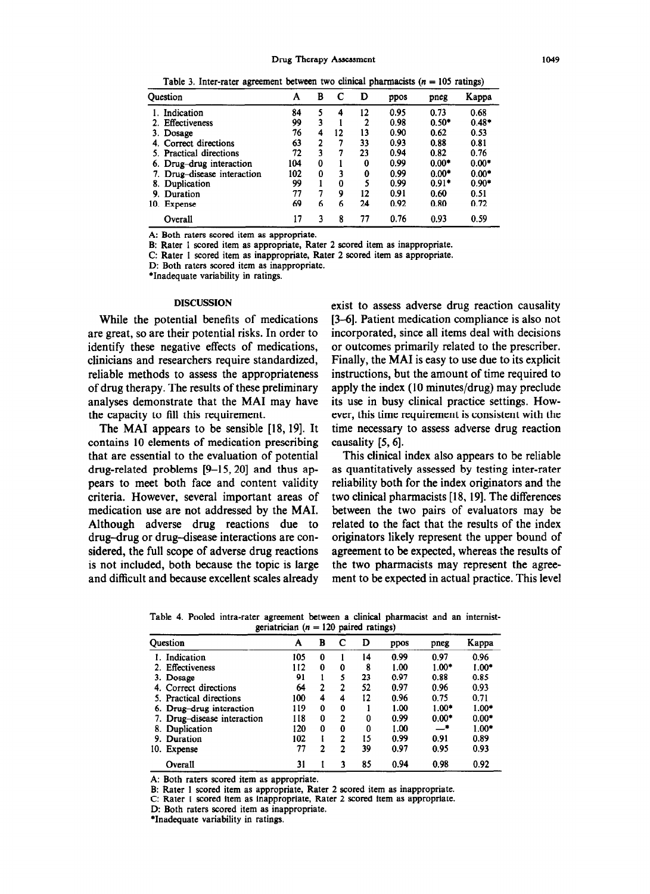Table 3. Inter-rater agreement between two clinical pharmacists  $(n = 105 \text{ ratings})$ 

| Ouestion                       | A   | в        | С  | D  | ppos | pneg    | Kappa   |
|--------------------------------|-----|----------|----|----|------|---------|---------|
| Indication                     | 84  |          | 4  | 12 | 0.95 | 0.73    | 0.68    |
| Effectiveness                  | 99  | 3        |    | 2  | 0.98 | $0.50*$ | $0.48*$ |
| 3. Dosage                      | 76  | 4        | 12 | 13 | 0.90 | 0.62    | 0.53    |
| Correct directions             | 63  | 2        | 7  | 33 | 0.93 | 0.88    | 0.81    |
| 5. Practical directions        | 72  | 3        | 7  | 23 | 0.94 | 0.82    | 0.76    |
| 6. Drug-drug interaction       | 104 | 0        |    | 0  | 0.99 | $0.00*$ | $0.00*$ |
| Drug-disease interaction<br>7. | 102 | $\bf{0}$ | 3  | 0  | 0.99 | $0.00*$ | $0.00*$ |
| Duplication<br>8.              | 99  |          | 0  |    | 0.99 | $0.91*$ | $0.90*$ |
| 9. Duration                    | 77  | 7        | 9  | 12 | 0.91 | 0.60    | 0.51    |
| 10.<br><b>Expense</b>          | 69  | 6        | 6  | 24 | 0.92 | 0.80    | 0.72    |
| Overall                        | 17  | ٦        | 8  | 77 | 0.76 | 0.93    | 0.59    |

A: Both raters scored item as appropriate.

B: Rater 1 scored item as appropriate, Rater 2 scored item as inappropriate.

C: Rater 1 scored item as inappropriate, Rater 2 scored item as appropriate.

D: Both raters scored item as inappropriate.

\*Inadequate variability in ratings.

### **DISCUSSION**

While the potential benefits of medications are great, so are their potential risks. In order to identify these negative effects of medications, clinicians and researchers require standardized, reliable methods to assess the appropriateness of drug therapy. The results of these preliminary analyses demonstrate that the MAI may have the capacity to fill this requirement.

The MAI appears to be sensible [18, 19]. It contains 10 elements of medication prescribing that are essential to the evaluation of potential drug-related problems [9-15, 20] and thus appears to meet both face and content validity criteria. However, several important areas of medication use are not addressed by the MAI. Although adverse drug reactions due to drug-drug or drug-disease interactions are considered, the full scope of adverse drug reactions is not included, both because the topic is large and difficult and because excellent scales already

exist to assess adverse drug reaction causality [3–6]. Patient medication compliance is also not incorporated, since all items deal with decisions or outcomes primarily related to the prescriber. Finally, the MAI is easy to use due to its explicit instructions, but the amount of time required to apply the index (10 minutes/drug) may preclude its use in busy clinical practice settings. However, this time requirement is consistent with the time necessary to assess adverse drug reaction causality [5, 6].

This clinical index also appears to be reliable as quantitatively assessed by testing inter-rater reliability both for the index originators and the two clinical pharmacists [18, 19]. The differences between the two pairs of evaluators may be related to the fact that the results of the index originators likely represent the upper bound of agreement to be expected, whereas the results of the two pharmacists may represent the agreement to be expected in actual practice. This level

Table 4. Pooled intra-rater agreement between a clinical pharmacist and an internistgeriatrician ( $n = 120$  paired ratings)

| <b>Question</b>             | A   | В |   | D  | ppos | pneg    | Kappa   |
|-----------------------------|-----|---|---|----|------|---------|---------|
| Indication                  | 105 | 0 |   | 14 | 0.99 | 0.97    | 0.96    |
| 2. Effectiveness            | 112 | 0 | 0 | 8  | 1.00 | $1.00*$ | $1.00*$ |
| 3. Dosage                   | 91  |   | 5 | 23 | 0.97 | 0.88    | 0.85    |
| 4. Correct directions       | 64  | 2 | 2 | 52 | 0.97 | 0.96    | 0.93    |
| 5. Practical directions     | 100 | 4 | 4 | 12 | 0.96 | 0.75    | 0.71    |
| 6. Drug-drug interaction    | 119 | 0 | 0 |    | 1.00 | $1.00*$ | $1.00*$ |
| 7. Drug-disease interaction | 118 | 0 | 2 | 0  | 0.99 | $0.00*$ | $0.00*$ |
| Duplication<br>8.           | 120 | 0 | 0 | 0  | 1.00 | _•      | $1.00*$ |
| 9. Duration                 | 102 |   | 2 | 15 | 0.99 | 0.91    | 0.89    |
| Expense<br>10.              | 77  | 2 | 2 | 39 | 0.97 | 0.95    | 0.93    |
| Overall                     | 31  |   |   | 85 | 0.94 | 0.98    | 0.92    |

A: Both raters scored item as appropriate.

B: Rater 1 scored item as appropriate, Rater 2 scored item as inappropriate.

C: Rater 1 scored item as inappropriate, Rater 2 scored item as appropriate.

D: Both raters scored item as inappropriate.

\*Inadequate variability in ratings.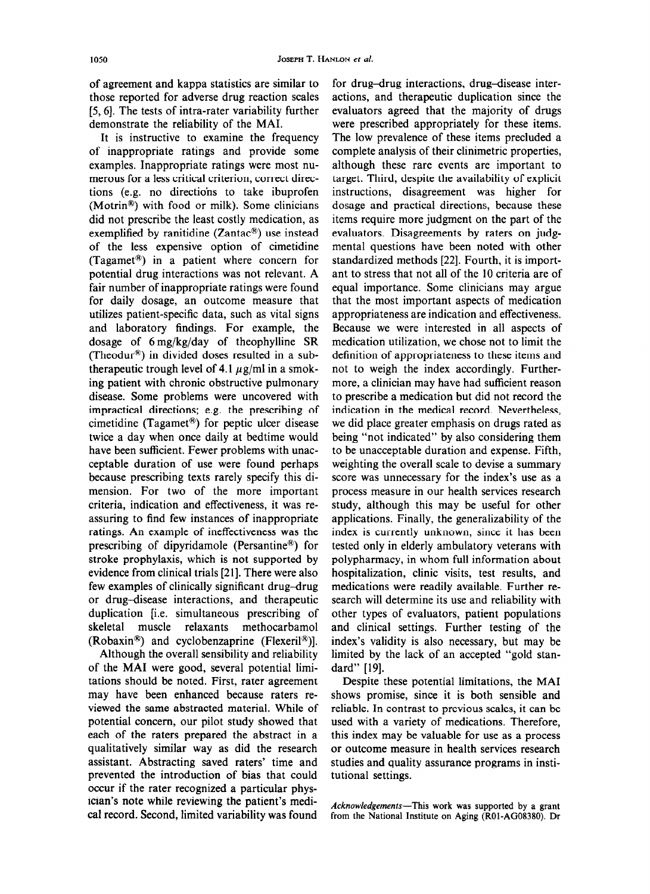of agreement and kappa statistics are similar to those reported for adverse drug reaction scales [5,6]. The tests of intra-rater variability further demonstrate the reliability of the MAI.

It is instructive to examine the frequency of inappropriate ratings and provide some examples. Inappropriate ratings were most numerous for a less critical criterion, correct directions (e.g. no directions to take ibuprofen (Motrin@) with food or milk). Some clinicians did not prescribe the least costly medication, as exemplified by ranitidine (Zantac $\mathcal{P}$ ) use instead of the less expensive option of cimetidine (Tagamet<sup>®</sup>) in a patient where concern for potential drug interactions was not relevant. A fair number of inappropriate ratings were found for daily dosage, an outcome measure that utilizes patient-specific data, such as vital signs and laboratory findings. For example, the dosage of 6mg/kg/day of theophylline SR (Theodur@) in divided doses resulted in a subtherapeutic trough level of 4.1  $\mu$ g/ml in a smoking patient with chronic obstructive pulmonary disease. Some problems were uncovered with impractical directions; e.g. the prescribing of cimetidine (Tagamet<sup>®</sup>) for peptic ulcer disease twice a day when once daily at bedtime would have been sufficient. Fewer problems with unacceptable duration of use were found perhaps because prescribing texts rarely specify this dimension. For two of the more important criteria, indication and efiectiveness, it was reassuring to find few instances of inappropriate ratings. An example of ineffectiveness was the prescribing of dipyridamole (Persantine@) for stroke prophylaxis, which is not supported by evidence from clinical trials [21]. There were also few examples of clinically significant drug-drug or drug-disease interactions, and therapeutic duplication [i.e. simultaneous prescribing of skeletal muscle relaxants methocarbamol  $(Robaxin<sup>®</sup>)$  and cyclobenzaprine (Flexeril<sup>®</sup>).

Although the overall sensibility and reliability of the MA1 were good, several potential limitations should be noted. First, rater agreement may have been enhanced because raters reviewed the same abstracted material. While of potential concern, our pilot study showed that each of the raters prepared the abstract in a qualitatively similar way as did the research assistant. Abstracting saved raters' time and prevented the introduction of bias that could occur if the rater recognized a particular physician's note while reviewing the patient's medical record. Second, limited variability was found

for drug-drug interactions, drug-disease interactions, and therapeutic duplication since the evaluators agreed that the majority of drugs were prescribed appropriately for these items. The low prevalence of these items precluded a compiete anaiysis of their ciinimetric properties, although these rare events are important to target. Third, despite the availability of explicit instructions, disagreement was higher for dosage and practical directions, because these items require more judgment on the part of the evaluators. Disagreements by raters on judgmental questions have been noted with other standardized methods 1221. Fourth, it is important to stress that not all of the 10 criteria are of equal importance. Some clinicians may argue that the most important aspects of medication appropriateness are indication and effectiveness. Because we were interested in all aspects of medication utilization, we chose not to limit the definition of appropriateness to these items and not to weigh the index accordingly. Furthermore, a clinician may have had sufficient reason to prescribe a medication but did not record the indication in the medical record. Nevertheless, we did place greater emphasis on drugs rated as being "not indicated" by also considering them to be unacceptable duration and expense. Fifth, weighting the overall scale to devise a summary score was unnecessary for the index's use as a process measure in our health services research study, aithough this may be usefui for other applications. Finally, the generalizability of the index is currently unknown, since it has been tested only in elderly ambulatory veterans with polypharmacy, in whom full information about hospitalization, clinic visits, test results, and medications were readily available. Further research will determine its use and reliability with other types of evaluators, patient populations and clinical settings. Further testing of the index's validity is also necessary, but may be limited by the lack of an accepted "gold standard" [19].

Despite these potential limitations, the MA1 shows promise, since it is both sensible and reliable. In contrast to previous scales, it can be used with a variety of medications. Therefore, this index mav be vaiuabie for use as a process or outcome measure in health services research studies and quality assurance programs in institutional settings.

Acknowledgements-This work was supported by a grant from the National Institute on Aging (ROl-AG08380). Dr